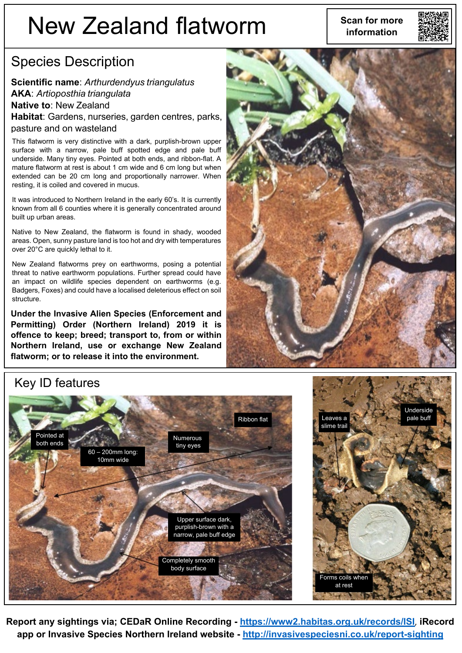# New Zealand flatworm **information**



#### Species Description

**Scientific name**: *Arthurdendyus triangulatus* **AKA**: *Artioposthia triangulata* **Native to**: New Zealand **Habitat**: Gardens, nurseries, garden centres, parks, pasture and on wasteland

This flatworm is very distinctive with a dark, purplish-brown upper surface with a narrow, pale buff spotted edge and pale buff underside. Many tiny eyes. Pointed at both ends, and ribbon-flat. A mature flatworm at rest is about 1 cm wide and 6 cm long but when extended can be 20 cm long and proportionally narrower. When resting, it is coiled and covered in mucus.

It was introduced to Northern Ireland in the early 60's. It is currently known from all 6 counties where it is generally concentrated around built up urban areas.

Native to New Zealand, the flatworm is found in shady, wooded areas. Open, sunny pasture land is too hot and dry with temperatures over 20°C are quickly lethal to it.

New Zealand flatworms prey on earthworms, posing a potential threat to native earthworm populations. Further spread could have an impact on wildlife species dependent on earthworms (e.g. Badgers, Foxes) and could have a localised deleterious effect on soil structure.

**Under the Invasive Alien Species (Enforcement and Permitting) Order (Northern Ireland) 2019 it is offence to keep; breed; transport to, from or within Northern Ireland, use or exchange New Zealand flatworm; or to release it into the environment.**



#### Key ID features





**Report any sightings via; CEDaR Online Recording - <https://www2.habitas.org.uk/records/ISI>**, **iRecord app or Invasive Species Northern Ireland website - <http://invasivespeciesni.co.uk/report-sighting>**